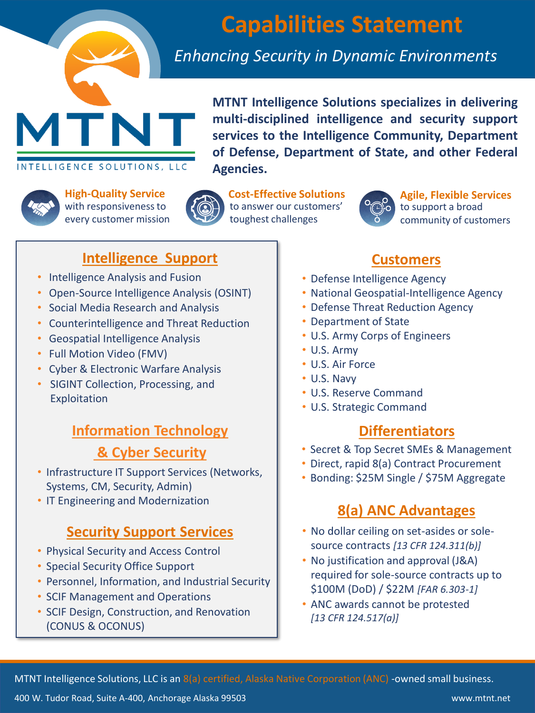

# **Capabilities Statement**

# *Enhancing Security in Dynamic Environments*

**MTNT Intelligence Solutions specializes in delivering multi-disciplined intelligence and security support services to the Intelligence Community, Department of Defense, Department of State, and other Federal Agencies.**



**High-Quality Service**  with responsiveness to every customer mission

INTELLIGENCE SOLUTIONS, LLC



**Cost-Effective Solutions** to answer our customers' toughest challenges



**Agile, Flexible Services** to support a broad community of customers

### **Intelligence Support**

- Intelligence Analysis and Fusion
- Open-Source Intelligence Analysis (OSINT)
- Social Media Research and Analysis
- Counterintelligence and Threat Reduction
- Geospatial Intelligence Analysis
- Full Motion Video (FMV)
- Cyber & Electronic Warfare Analysis
- SIGINT Collection, Processing, and Exploitation

# **Information Technology & Cyber Security**

- Infrastructure IT Support Services (Networks, Systems, CM, Security, Admin)
- IT Engineering and Modernization

# **Security Support Services**

- Physical Security and Access Control
- Special Security Office Support
- Personnel, Information, and Industrial Security
- SCIF Management and Operations
- SCIF Design, Construction, and Renovation (CONUS & OCONUS)

# **Customers**

- Defense Intelligence Agency
- National Geospatial-Intelligence Agency
- Defense Threat Reduction Agency
- Department of State
- U.S. Army Corps of Engineers
- U.S. Army
- U.S. Air Force
- U.S. Navy
- U.S. Reserve Command
- U.S. Strategic Command

# **Differentiators**

- Secret & Top Secret SMEs & Management
- Direct, rapid 8(a) Contract Procurement
- Bonding: \$25M Single / \$75M Aggregate

# **8(a) ANC Advantages**

- No dollar ceiling on set-asides or solesource contracts *[13 CFR 124.311(b)]*
- No justification and approval (J&A) required for sole-source contracts up to \$100M (DoD) / \$22M *[FAR 6.303-1]*
- ANC awards cannot be protested *[13 CFR 124.517(a)]*

MTNT Intelligence Solutions, LLC is an 8(a) certified, Alaska Native Corporation (ANC) -owned small business.